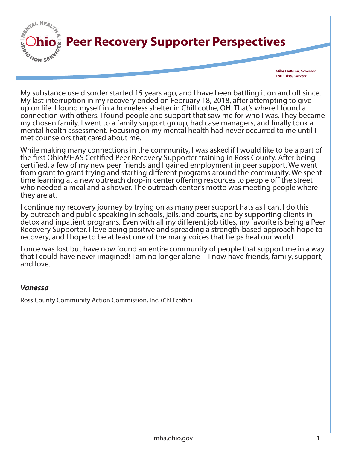

**Mike DeWine,** *Governor* **Lori Criss,** *Director*

My substance use disorder started 15 years ago, and I have been battling it on and off since. My last interruption in my recovery ended on February 18, 2018, after attempting to give up on life. I found myself in a homeless shelter in Chillicothe, OH. That's where I found a connection with others. I found people and support that saw me for who I was. They became my chosen family. I went to a family support group, had case managers, and finally took a mental health assessment. Focusing on my mental health had never occurred to me until I met counselors that cared about me.

While making many connections in the community, I was asked if I would like to be a part of the first OhioMHAS Certified Peer Recovery Supporter training in Ross County. After being certified, a few of my new peer friends and I gained employment in peer support. We went from grant to grant trying and starting different programs around the community. We spent time learning at a new outreach drop-in center offering resources to people off the street who needed a meal and a shower. The outreach center's motto was meeting people where they are at.

I continue my recovery journey by trying on as many peer support hats as I can. I do this by outreach and public speaking in schools, jails, and courts, and by supporting clients in detox and inpatient programs. Even with all my different job titles, my favorite is being a Peer Recovery Supporter. I love being positive and spreading a strength-based approach hope to recovery, and I hope to be at least one of the many voices that helps heal our world.

I once was lost but have now found an entire community of people that support me in a way that I could have never imagined! I am no longer alone—I now have friends, family, support, and love.

## *Vanessa*

Ross County Community Action Commission, Inc. (Chillicothe)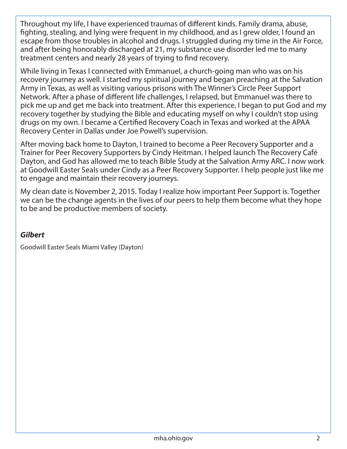Throughout my life, I have experienced traumas of different kinds. Family drama, abuse, fighting, stealing, and lying were frequent in my childhood, and as I grew older, I found an escape from those troubles in alcohol and drugs. I struggled during my time in the Air Force, and after being honorably discharged at 21, my substance use disorder led me to many treatment centers and nearly 28 years of trying to find recovery.

While living in Texas I connected with Emmanuel, a church-going man who was on his recovery journey as well. I started my spiritual journey and began preaching at the Salvation Army in Texas, as well as visiting various prisons with The Winner's Circle Peer Support Network. After a phase of different life challenges, I relapsed, but Emmanuel was there to pick me up and get me back into treatment. After this experience, I began to put God and my recovery together by studying the Bible and educating myself on why I couldn't stop using drugs on my own. I became a Certified Recovery Coach in Texas and worked at the APAA Recovery Center in Dallas under Joe Powell's supervision.

After moving back home to Dayton, I trained to become a Peer Recovery Supporter and a Trainer for Peer Recovery Supporters by Cindy Heitman. I helped launch The Recovery Café Dayton, and God has allowed me to teach Bible Study at the Salvation Army ARC. I now work at Goodwill Easter Seals under Cindy as a Peer Recovery Supporter. I help people just like me to engage and maintain their recovery journeys.

My clean date is November 2, 2015. Today I realize how important Peer Support is. Together we can be the change agents in the lives of our peers to help them become what they hope to be and be productive members of society.

## *Gilbert*

Goodwill Easter Seals Miami Valley (Dayton)